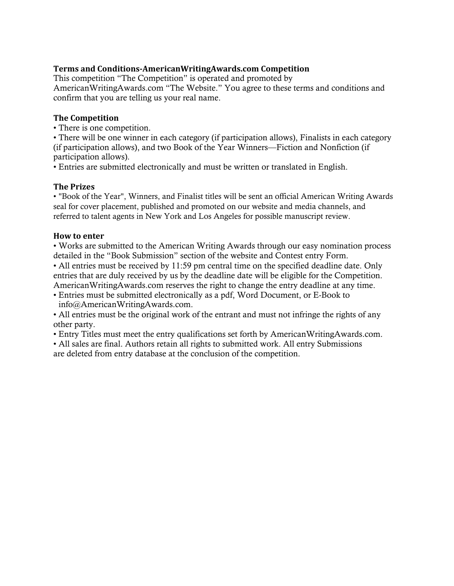### **Terms and Conditions-AmericanWritingAwards.com Competition**

This competition "The Competition" is operated and promoted by AmericanWritingAwards.com "The Website." You agree to these terms and conditions and confirm that you are telling us your real name.

### **The Competition**

• There is one competition.

• There will be one winner in each category (if participation allows), Finalists in each category (if participation allows), and two Book of the Year Winners—Fiction and Nonfiction (if participation allows).

• Entries are submitted electronically and must be written or translated in English.

### **The Prizes**

• "Book of the Year", Winners, and Finalist titles will be sent an official American Writing Awards seal for cover placement, published and promoted on our website and media channels, and referred to talent agents in New York and Los Angeles for possible manuscript review.

#### **How to enter**

• Works are submitted to the American Writing Awards through our easy nomination process detailed in the "Book Submission" section of the website and Contest entry Form.

• All entries must be received by 11:59 pm central time on the specified deadline date. Only entries that are duly received by us by the deadline date will be eligible for the Competition. AmericanWritingAwards.com reserves the right to change the entry deadline at any time.

• Entries must be submitted electronically as a pdf, Word Document, or E-Book to info@AmericanWritingAwards.com.

• All entries must be the original work of the entrant and must not infringe the rights of any other party.

• Entry Titles must meet the entry qualifications set forth by AmericanWritingAwards.com.

• All sales are final. Authors retain all rights to submitted work. All entry Submissions are deleted from entry database at the conclusion of the competition.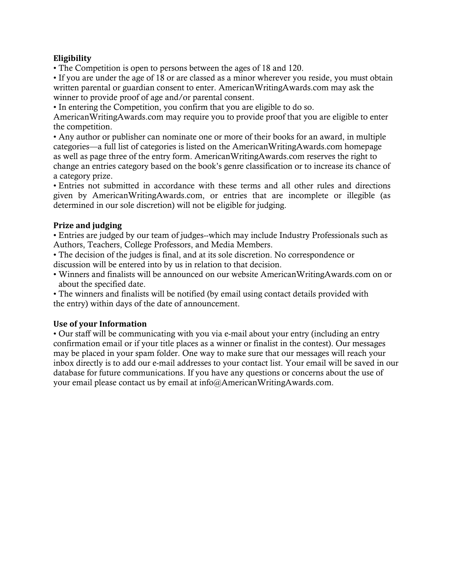# **Eligibility**

• The Competition is open to persons between the ages of 18 and 120.

• If you are under the age of 18 or are classed as a minor wherever you reside, you must obtain written parental or guardian consent to enter. AmericanWritingAwards.com may ask the winner to provide proof of age and/or parental consent.

• In entering the Competition, you confirm that you are eligible to do so.

AmericanWritingAwards.com may require you to provide proof that you are eligible to enter the competition.

• Any author or publisher can nominate one or more of their books for an award, in multiple categories—a full list of categories is listed on the AmericanWritingAwards.com homepage as well as page three of the entry form. AmericanWritingAwards.com reserves the right to change an entries category based on the book's genre classification or to increase its chance of a category prize.

• Entries not submitted in accordance with these terms and all other rules and directions given by AmericanWritingAwards.com, or entries that are incomplete or illegible (as determined in our sole discretion) will not be eligible for judging.

# **Prize and judging**

• Entries are judged by our team of judges--which may include Industry Professionals such as Authors, Teachers, College Professors, and Media Members.

• The decision of the judges is final, and at its sole discretion. No correspondence or discussion will be entered into by us in relation to that decision.

• Winners and finalists will be announced on our website AmericanWritingAwards.com on or about the specified date.

• The winners and finalists will be notified (by email using contact details provided with the entry) within days of the date of announcement.

# **Use of your Information**

• Our staff will be communicating with you via e-mail about your entry (including an entry confirmation email or if your title places as a winner or finalist in the contest). Our messages may be placed in your spam folder. One way to make sure that our messages will reach your inbox directly is to add our e-mail addresses to your contact list. Your email will be saved in our database for future communications. If you have any questions or concerns about the use of your email please contact us by email at info@AmericanWritingAwards.com.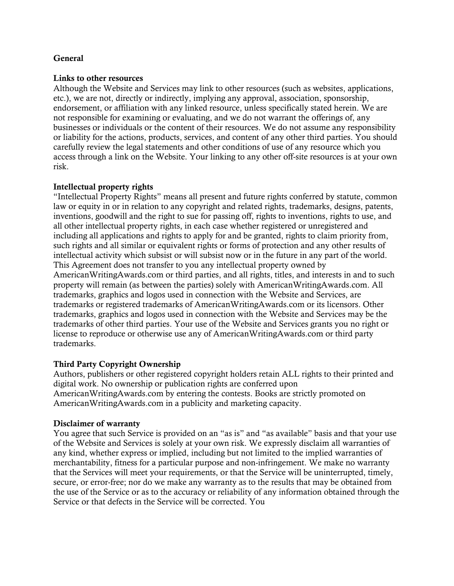### **General**

#### Links to other resources

Although the Website and Services may link to other resources (such as websites, applications, etc.), we are not, directly or indirectly, implying any approval, association, sponsorship, endorsement, or affiliation with any linked resource, unless specifically stated herein. We are not responsible for examining or evaluating, and we do not warrant the offerings of, any businesses or individuals or the content of their resources. We do not assume any responsibility or liability for the actions, products, services, and content of any other third parties. You should carefully review the legal statements and other conditions of use of any resource which you access through a link on the Website. Your linking to any other off-site resources is at your own risk.

### Intellectual property rights

"Intellectual Property Rights" means all present and future rights conferred by statute, common law or equity in or in relation to any copyright and related rights, trademarks, designs, patents, inventions, goodwill and the right to sue for passing off, rights to inventions, rights to use, and all other intellectual property rights, in each case whether registered or unregistered and including all applications and rights to apply for and be granted, rights to claim priority from, such rights and all similar or equivalent rights or forms of protection and any other results of intellectual activity which subsist or will subsist now or in the future in any part of the world. This Agreement does not transfer to you any intellectual property owned by AmericanWritingAwards.com or third parties, and all rights, titles, and interests in and to such property will remain (as between the parties) solely with AmericanWritingAwards.com. All trademarks, graphics and logos used in connection with the Website and Services, are trademarks or registered trademarks of AmericanWritingAwards.com or its licensors. Other trademarks, graphics and logos used in connection with the Website and Services may be the trademarks of other third parties. Your use of the Website and Services grants you no right or license to reproduce or otherwise use any of AmericanWritingAwards.com or third party trademarks.

### Third Party Copyright Ownership

Authors, publishers or other registered copyright holders retain ALL rights to their printed and digital work. No ownership or publication rights are conferred upon AmericanWritingAwards.com by entering the contests. Books are strictly promoted on AmericanWritingAwards.com in a publicity and marketing capacity.

#### Disclaimer of warranty

You agree that such Service is provided on an "as is" and "as available" basis and that your use of the Website and Services is solely at your own risk. We expressly disclaim all warranties of any kind, whether express or implied, including but not limited to the implied warranties of merchantability, fitness for a particular purpose and non-infringement. We make no warranty that the Services will meet your requirements, or that the Service will be uninterrupted, timely, secure, or error-free; nor do we make any warranty as to the results that may be obtained from the use of the Service or as to the accuracy or reliability of any information obtained through the Service or that defects in the Service will be corrected. You